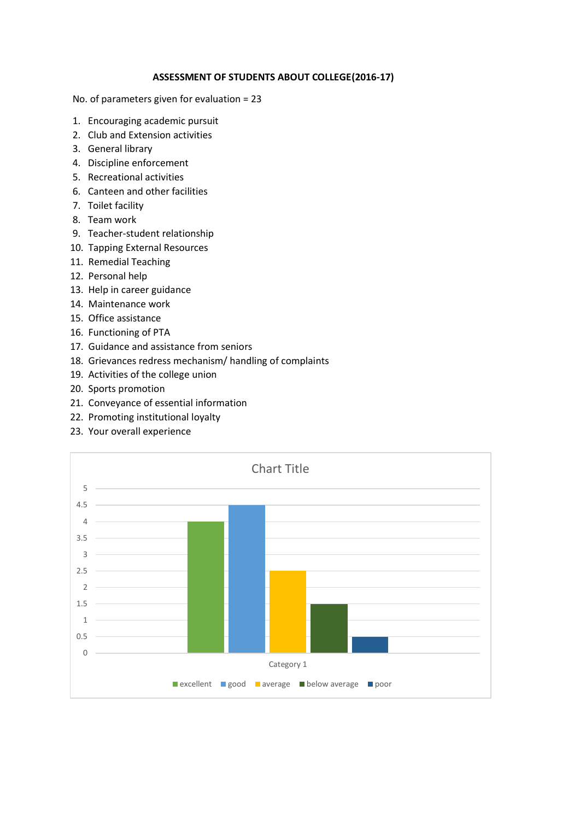## **ASSESSMENT OF STUDENTS ABOUT COLLEGE(2016-17)**

No. of parameters given for evaluation = 23

- 1. Encouraging academic pursuit
- 2. Club and Extension activities
- 3. General library
- 4. Discipline enforcement
- 5. Recreational activities
- 6. Canteen and other facilities
- 7. Toilet facility
- 8. Team work
- 9. Teacher-student relationship
- 10. Tapping External Resources
- 11. Remedial Teaching
- 12. Personal help
- 13. Help in career guidance
- 14. Maintenance work
- 15. Office assistance
- 16. Functioning of PTA
- 17. Guidance and assistance from seniors
- 18. Grievances redress mechanism/ handling of complaints
- 19. Activities of the college union
- 20. Sports promotion
- 21. Conveyance of essential information
- 22. Promoting institutional loyalty
- 23. Your overall experience

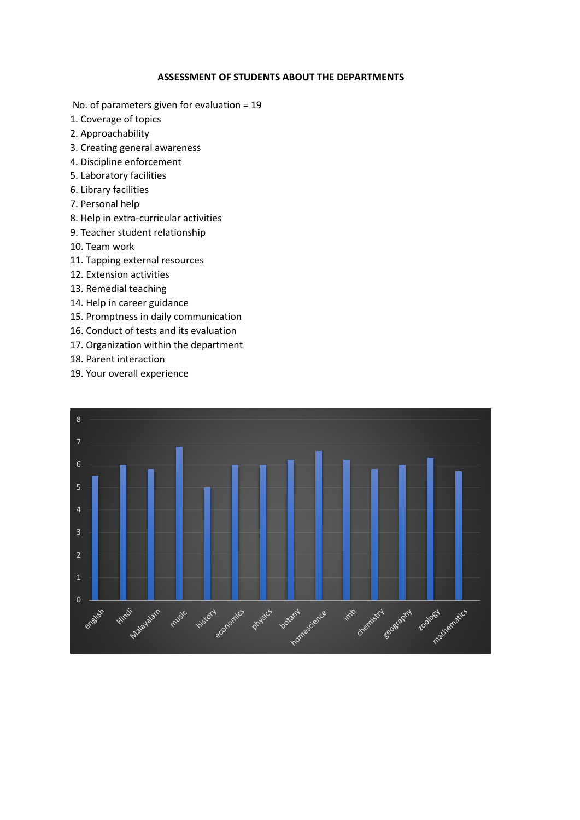## **ASSESSMENT OF STUDENTS ABOUT THE DEPARTMENTS**

No. of parameters given for evaluation = 19

- 1. Coverage of topics
- 2. Approachability
- 3. Creating general awareness
- 4. Discipline enforcement
- 5. Laboratory facilities
- 6. Library facilities
- 7. Personal help
- 8. Help in extra-curricular activities
- 9. Teacher student relationship
- 10. Team work
- 11. Tapping external resources
- 12. Extension activities
- 13. Remedial teaching
- 14. Help in career guidance
- 15. Promptness in daily communication
- 16. Conduct of tests and its evaluation
- 17. Organization within the department
- 18. Parent interaction
- 19. Your overall experience